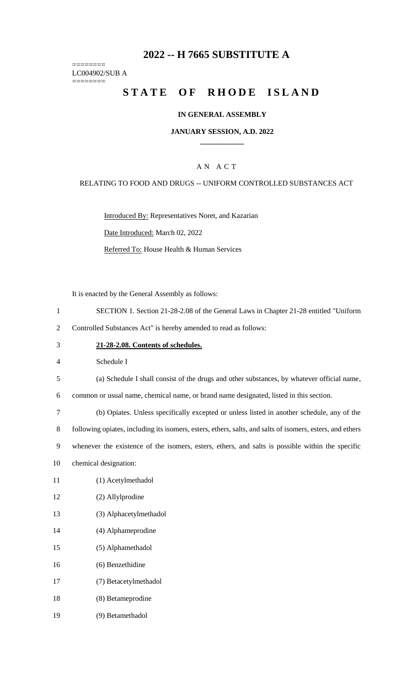# **-- H 7665 SUBSTITUTE A**

======== LC004902/SUB A ========

# **STATE OF RHODE ISLAND**

### **IN GENERAL ASSEMBLY**

#### **JANUARY SESSION, A.D. 2022 \_\_\_\_\_\_\_\_\_\_\_\_**

### A N A C T

#### RELATING TO FOOD AND DRUGS -- UNIFORM CONTROLLED SUBSTANCES ACT

Introduced By: Representatives Noret, and Kazarian Date Introduced: March 02, 2022

Referred To: House Health & Human Services

It is enacted by the General Assembly as follows:

- SECTION 1. Section 21-28-2.08 of the General Laws in Chapter 21-28 entitled "Uniform
- Controlled Substances Act" is hereby amended to read as follows:
- **21-28-2.08. Contents of schedules.**

Schedule I

(a) Schedule I shall consist of the drugs and other substances, by whatever official name,

common or usual name, chemical name, or brand name designated, listed in this section.

(b) Opiates. Unless specifically excepted or unless listed in another schedule, any of the

following opiates, including its isomers, esters, ethers, salts, and salts of isomers, esters, and ethers

whenever the existence of the isomers, esters, ethers, and salts is possible within the specific

- chemical designation:
- (1) Acetylmethadol
- (2) Allylprodine
- (3) Alphacetylmethadol
- (4) Alphameprodine
- (5) Alphamethadol
- (6) Benzethidine
- (7) Betacetylmethadol
- (8) Betameprodine
- (9) Betamethadol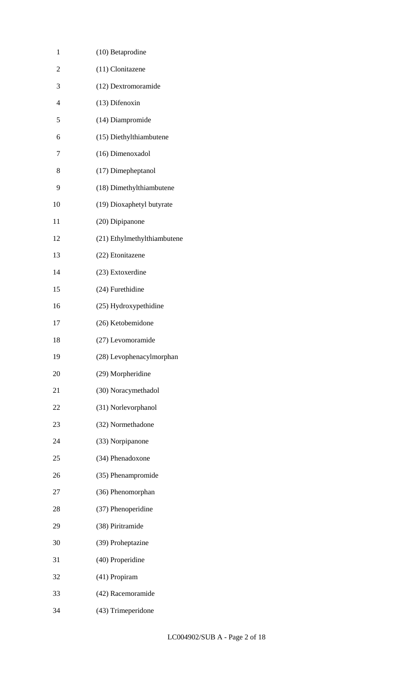| 1              | (10) Betaprodine            |
|----------------|-----------------------------|
| $\overline{c}$ | (11) Clonitazene            |
| 3              | (12) Dextromoramide         |
| $\overline{4}$ | (13) Difenoxin              |
| 5              | (14) Diampromide            |
| 6              | (15) Diethylthiambutene     |
| 7              | (16) Dimenoxadol            |
| 8              | (17) Dimepheptanol          |
| 9              | (18) Dimethylthiambutene    |
| 10             | (19) Dioxaphetyl butyrate   |
| 11             | (20) Dipipanone             |
| 12             | (21) Ethylmethylthiambutene |
| 13             | (22) Etonitazene            |
| 14             | (23) Extoxerdine            |
| 15             | (24) Furethidine            |
| 16             | (25) Hydroxypethidine       |
| 17             | (26) Ketobemidone           |
| 18             | (27) Levomoramide           |
| 19             | (28) Levophenacylmorphan    |
| 20             | (29) Morpheridine           |
| 21             | (30) Noracymethadol         |
| 22             | (31) Norlevorphanol         |
| 23             | (32) Normethadone           |
| 24             | (33) Norpipanone            |
| 25             | (34) Phenadoxone            |
| 26             | (35) Phenampromide          |
| 27             | (36) Phenomorphan           |
| 28             | (37) Phenoperidine          |
| 29             | (38) Piritramide            |
| 30             | (39) Proheptazine           |
| 31             | (40) Properidine            |
| 32             | (41) Propiram               |
| 33             | (42) Racemoramide           |
| 34             | (43) Trimeperidone          |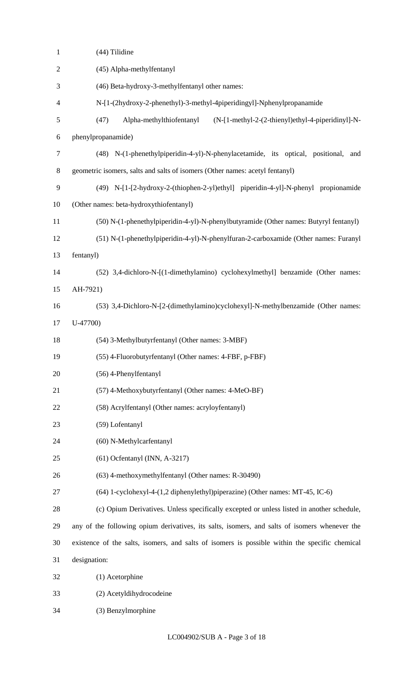| $\mathbf{1}$   | (44) Tilidine                                                                                  |
|----------------|------------------------------------------------------------------------------------------------|
| $\mathbf{2}$   | (45) Alpha-methylfentanyl                                                                      |
| 3              | (46) Beta-hydroxy-3-methylfentanyl other names:                                                |
| $\overline{4}$ | N-[1-(2hydroxy-2-phenethyl)-3-methyl-4piperidingyl]-Nphenylpropanamide                         |
| 5              | (47)<br>Alpha-methylthiofentanyl<br>(N-[1-methyl-2-(2-thienyl)ethyl-4-piperidinyl]-N-          |
| 6              | phenylpropanamide)                                                                             |
| $\tau$         | (48) N-(1-phenethylpiperidin-4-yl)-N-phenylacetamide, its optical, positional,<br>and          |
| 8              | geometric isomers, salts and salts of isomers (Other names: acetyl fentanyl)                   |
| 9              | (49) N-[1-[2-hydroxy-2-(thiophen-2-yl)ethyl] piperidin-4-yl]-N-phenyl propionamide             |
| 10             | (Other names: beta-hydroxythiofentanyl)                                                        |
| 11             | (50) N-(1-phenethylpiperidin-4-yl)-N-phenylbutyramide (Other names: Butyryl fentanyl)          |
| 12             | (51) N-(1-phenethylpiperidin-4-yl)-N-phenylfuran-2-carboxamide (Other names: Furanyl           |
| 13             | fentanyl)                                                                                      |
| 14             | (52) 3,4-dichloro-N-[(1-dimethylamino) cyclohexylmethyl] benzamide (Other names:               |
| 15             | AH-7921)                                                                                       |
| 16             | (53) 3,4-Dichloro-N-[2-(dimethylamino)cyclohexyl]-N-methylbenzamide (Other names:              |
| 17             | $U-47700$                                                                                      |
| 18             | (54) 3-Methylbutyrfentanyl (Other names: 3-MBF)                                                |
| 19             | (55) 4-Fluorobutyrfentanyl (Other names: 4-FBF, p-FBF)                                         |
| 20             | (56) 4-Phenylfentanyl                                                                          |
| 21             | (57) 4-Methoxybutyrfentanyl (Other names: 4-MeO-BF)                                            |
| 22             | (58) Acrylfentanyl (Other names: acryloyfentanyl)                                              |
| 23             | (59) Lofentanyl                                                                                |
| 24             | (60) N-Methylcarfentanyl                                                                       |
| 25             | $(61)$ Ocfentanyl (INN, A-3217)                                                                |
| 26             | (63) 4-methoxymethylfentanyl (Other names: R-30490)                                            |
| 27             | (64) 1-cyclohexyl-4-(1,2 diphenylethyl)piperazine) (Other names: MT-45, IC-6)                  |
| 28             | (c) Opium Derivatives. Unless specifically excepted or unless listed in another schedule,      |
| 29             | any of the following opium derivatives, its salts, isomers, and salts of isomers whenever the  |
| 30             | existence of the salts, isomers, and salts of isomers is possible within the specific chemical |
| 31             | designation:                                                                                   |
| 32             | (1) Acetorphine                                                                                |
| 33             | (2) Acetyldihydrocodeine                                                                       |
| 34             | (3) Benzylmorphine                                                                             |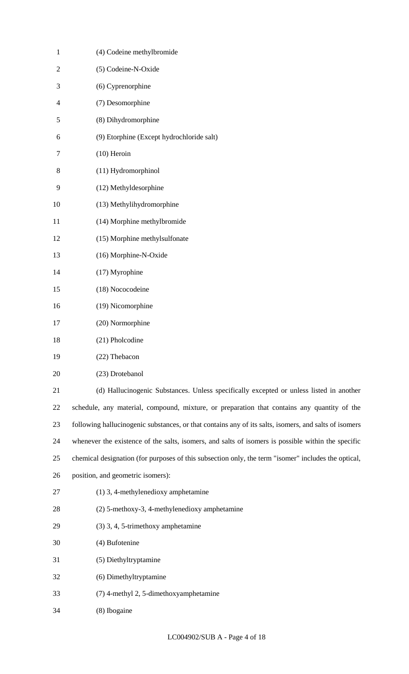| $\mathbf{1}$   | (4) Codeine methylbromide                                                                             |
|----------------|-------------------------------------------------------------------------------------------------------|
| $\overline{2}$ | (5) Codeine-N-Oxide                                                                                   |
| 3              | (6) Cyprenorphine                                                                                     |
| 4              | (7) Desomorphine                                                                                      |
| 5              | (8) Dihydromorphine                                                                                   |
| 6              | (9) Etorphine (Except hydrochloride salt)                                                             |
| 7              | $(10)$ Heroin                                                                                         |
| 8              | (11) Hydromorphinol                                                                                   |
| 9              | (12) Methyldesorphine                                                                                 |
| 10             | (13) Methylihydromorphine                                                                             |
| 11             | (14) Morphine methylbromide                                                                           |
| 12             | (15) Morphine methylsulfonate                                                                         |
| 13             | (16) Morphine-N-Oxide                                                                                 |
| 14             | (17) Myrophine                                                                                        |
| 15             | (18) Nococodeine                                                                                      |
| 16             | (19) Nicomorphine                                                                                     |
| 17             | (20) Normorphine                                                                                      |
| 18             | (21) Pholcodine                                                                                       |
| 19             | (22) Thebacon                                                                                         |
| 20             | (23) Drotebanol                                                                                       |
| 21             | (d) Hallucinogenic Substances. Unless specifically excepted or unless listed in another               |
| 22             | schedule, any material, compound, mixture, or preparation that contains any quantity of the           |
| 23             | following hallucinogenic substances, or that contains any of its salts, isomers, and salts of isomers |
| 24             | whenever the existence of the salts, isomers, and salts of isomers is possible within the specific    |
| 25             | chemical designation (for purposes of this subsection only, the term "isomer" includes the optical,   |
| 26             | position, and geometric isomers):                                                                     |
| 27             | $(1)$ 3, 4-methylenedioxy amphetamine                                                                 |
| 28             | (2) 5-methoxy-3, 4-methylenedioxy amphetamine                                                         |
| 29             | (3) 3, 4, 5-trimethoxy amphetamine                                                                    |
| 30             | (4) Bufotenine                                                                                        |
| 31             | (5) Diethyltryptamine                                                                                 |
| 32             | (6) Dimethyltryptamine                                                                                |
| 33             | (7) 4-methyl 2, 5-dimethoxyamphetamine                                                                |
| 34             | (8) Ibogaine                                                                                          |

LC004902/SUB A - Page 4 of 18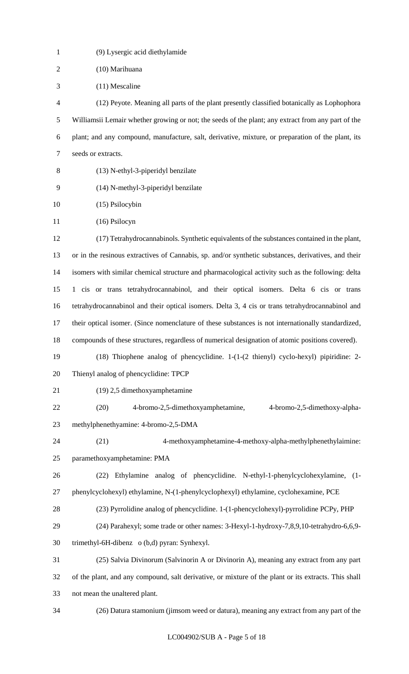| $\mathbf{1}$   | (9) Lysergic acid diethylamide                                                                                             |
|----------------|----------------------------------------------------------------------------------------------------------------------------|
| $\overline{2}$ | (10) Marihuana                                                                                                             |
| 3              | $(11)$ Mescaline                                                                                                           |
| $\overline{4}$ | (12) Peyote. Meaning all parts of the plant presently classified botanically as Lophophora                                 |
| 5              | Williamsii Lemair whether growing or not; the seeds of the plant; any extract from any part of the                         |
| 6              | plant; and any compound, manufacture, salt, derivative, mixture, or preparation of the plant, its                          |
| $\tau$         | seeds or extracts.                                                                                                         |
| 8              | (13) N-ethyl-3-piperidyl benzilate                                                                                         |
| 9              | (14) N-methyl-3-piperidyl benzilate                                                                                        |
| 10             | (15) Psilocybin                                                                                                            |
| 11             | (16) Psilocyn                                                                                                              |
| 12             | (17) Tetrahydrocannabinols. Synthetic equivalents of the substances contained in the plant,                                |
| 13             | or in the resinous extractives of Cannabis, sp. and/or synthetic substances, derivatives, and their                        |
| 14             | isomers with similar chemical structure and pharmacological activity such as the following: delta                          |
| 15             | 1 cis or trans tetrahydrocannabinol, and their optical isomers. Delta 6 cis or trans                                       |
| 16             | tetrahydrocannabinol and their optical isomers. Delta 3, 4 cis or trans tetrahydrocannabinol and                           |
| 17             | their optical isomer. (Since nomenclature of these substances is not internationally standardized,                         |
| 18             | compounds of these structures, regardless of numerical designation of atomic positions covered).                           |
| 19             | $(18)$ Thiophene analog of phencyclidine. $1-(1-(2 \thinspace \text{thing}) \thinspace \text{cyclo-hexyl})$ pipiridine: 2- |
| 20             | Thienyl analog of phencyclidine: TPCP                                                                                      |
| 21             | (19) 2,5 dimethoxyamphetamine                                                                                              |
| 22             | 4-bromo-2,5-dimethoxyamphetamine,<br>4-bromo-2,5-dimethoxy-alpha-<br>(20)                                                  |
| 23             | methylphenethyamine: 4-bromo-2,5-DMA                                                                                       |
| 24             | 4-methoxyamphetamine-4-methoxy-alpha-methylphenethylaimine:<br>(21)                                                        |
| 25             | paramethoxyamphetamine: PMA                                                                                                |
| 26             | Ethylamine analog of phencyclidine. N-ethyl-1-phenylcyclohexylamine, (1-<br>(22)                                           |
| 27             | phenylcyclohexyl) ethylamine, N-(1-phenylcyclophexyl) ethylamine, cyclohexamine, PCE                                       |
| 28             | (23) Pyrrolidine analog of phencyclidine. 1-(1-phencyclohexyl)-pyrrolidine PCPy, PHP                                       |
| 29             | (24) Parahexyl; some trade or other names: 3-Hexyl-1-hydroxy-7,8,9,10-tetrahydro-6,6,9-                                    |
| 30             | trimethyl-6H-dibenz o (b,d) pyran: Synhexyl.                                                                               |
| 31             | (25) Salvia Divinorum (Salvinorin A or Divinorin A), meaning any extract from any part                                     |
| 32             | of the plant, and any compound, salt derivative, or mixture of the plant or its extracts. This shall                       |
| 33             | not mean the unaltered plant.                                                                                              |
| 34             | (26) Datura stamonium (jimsom weed or datura), meaning any extract from any part of the                                    |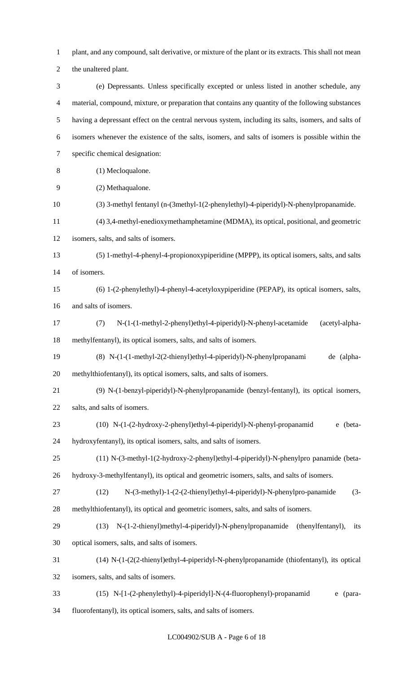plant, and any compound, salt derivative, or mixture of the plant or its extracts. This shall not mean

the unaltered plant.

 (e) Depressants. Unless specifically excepted or unless listed in another schedule, any material, compound, mixture, or preparation that contains any quantity of the following substances having a depressant effect on the central nervous system, including its salts, isomers, and salts of isomers whenever the existence of the salts, isomers, and salts of isomers is possible within the specific chemical designation: (1) Mecloqualone.

- (2) Methaqualone.
- (3) 3-methyl fentanyl (n-(3methyl-1(2-phenylethyl)-4-piperidyl)-N-phenylpropanamide.
- (4) 3,4-methyl-enedioxymethamphetamine (MDMA), its optical, positional, and geometric
- isomers, salts, and salts of isomers.

 (5) 1-methyl-4-phenyl-4-propionoxypiperidine (MPPP), its optical isomers, salts, and salts of isomers.

- (6) 1-(2-phenylethyl)-4-phenyl-4-acetyloxypiperidine (PEPAP), its optical isomers, salts, and salts of isomers.
- (7) N-(1-(1-methyl-2-phenyl)ethyl-4-piperidyl)-N-phenyl-acetamide (acetyl-alpha-methylfentanyl), its optical isomers, salts, and salts of isomers.
- (8) N-(1-(1-methyl-2(2-thienyl)ethyl-4-piperidyl)-N-phenylpropanami de (alpha-methylthiofentanyl), its optical isomers, salts, and salts of isomers.
- (9) N-(1-benzyl-piperidyl)-N-phenylpropanamide (benzyl-fentanyl), its optical isomers, salts, and salts of isomers.
- (10) N-(1-(2-hydroxy-2-phenyl)ethyl-4-piperidyl)-N-phenyl-propanamid e (beta-hydroxyfentanyl), its optical isomers, salts, and salts of isomers.
- (11) N-(3-methyl-1(2-hydroxy-2-phenyl)ethyl-4-piperidyl)-N-phenylpro panamide (beta-
- hydroxy-3-methylfentanyl), its optical and geometric isomers, salts, and salts of isomers.
- (12) N-(3-methyl)-1-(2-(2-thienyl)ethyl-4-piperidyl)-N-phenylpro-panamide (3- methylthiofentanyl), its optical and geometric isomers, salts, and salts of isomers.
- (13) N-(1-2-thienyl)methyl-4-piperidyl)-N-phenylpropanamide (thenylfentanyl), its optical isomers, salts, and salts of isomers.
- (14) N-(1-(2(2-thienyl)ethyl-4-piperidyl-N-phenylpropanamide (thiofentanyl), its optical

isomers, salts, and salts of isomers.

(15) N-[1-(2-phenylethyl)-4-piperidyl]-N-(4-fluorophenyl)-propanamid e (para-

fluorofentanyl), its optical isomers, salts, and salts of isomers.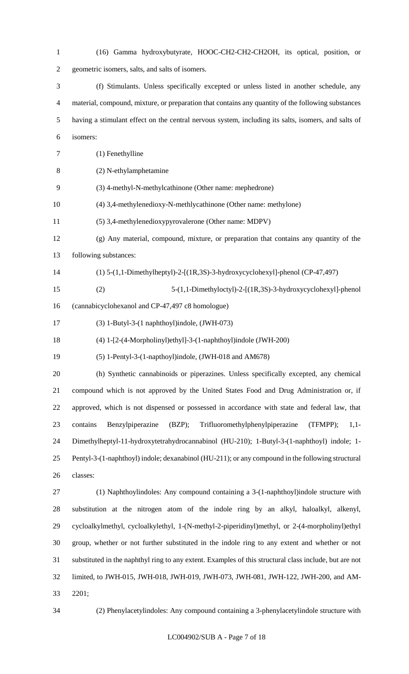(16) Gamma hydroxybutyrate, HOOC-CH2-CH2-CH2OH, its optical, position, or geometric isomers, salts, and salts of isomers. (f) Stimulants. Unless specifically excepted or unless listed in another schedule, any material, compound, mixture, or preparation that contains any quantity of the following substances having a stimulant effect on the central nervous system, including its salts, isomers, and salts of isomers: (1) Fenethylline (2) N-ethylamphetamine (3) 4-methyl-N-methylcathinone (Other name: mephedrone) (4) 3,4-methylenedioxy-N-methlycathinone (Other name: methylone) (5) 3,4-methylenedioxypyrovalerone (Other name: MDPV) (g) Any material, compound, mixture, or preparation that contains any quantity of the following substances: (1) 5-(1,1-Dimethylheptyl)-2-[(1R,3S)-3-hydroxycyclohexyl]-phenol (CP-47,497) (2) 5-(1,1-Dimethyloctyl)-2-[(1R,3S)-3-hydroxycyclohexyl]-phenol (cannabicyclohexanol and CP-47,497 c8 homologue) (3) 1-Butyl-3-(1 naphthoyl)indole, (JWH-073) (4) 1-[2-(4-Morpholinyl)ethyl]-3-(1-naphthoyl)indole (JWH-200) (5) 1-Pentyl-3-(1-napthoyl)indole, (JWH-018 and AM678) (h) Synthetic cannabinoids or piperazines. Unless specifically excepted, any chemical compound which is not approved by the United States Food and Drug Administration or, if approved, which is not dispensed or possessed in accordance with state and federal law, that contains Benzylpiperazine (BZP); Trifluoromethylphenylpiperazine (TFMPP); 1,1- Dimethylheptyl-11-hydroxytetrahydrocannabinol (HU-210); 1-Butyl-3-(1-naphthoyl) indole; 1- Pentyl-3-(1-naphthoyl) indole; dexanabinol (HU-211); or any compound in the following structural classes: (1) Naphthoylindoles: Any compound containing a 3-(1-naphthoyl)indole structure with substitution at the nitrogen atom of the indole ring by an alkyl, haloalkyl, alkenyl, cycloalkylmethyl, cycloalkylethyl, 1-(N-methyl-2-piperidinyl)methyl, or 2-(4-morpholinyl)ethyl group, whether or not further substituted in the indole ring to any extent and whether or not substituted in the naphthyl ring to any extent. Examples of this structural class include, but are not limited, to JWH-015, JWH-018, JWH-019, JWH-073, JWH-081, JWH-122, JWH-200, and AM-2201;

(2) Phenylacetylindoles: Any compound containing a 3-phenylacetylindole structure with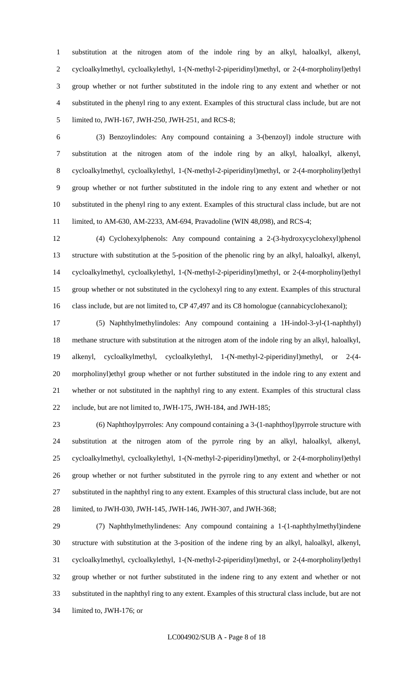substitution at the nitrogen atom of the indole ring by an alkyl, haloalkyl, alkenyl, cycloalkylmethyl, cycloalkylethyl, 1-(N-methyl-2-piperidinyl)methyl, or 2-(4-morpholinyl)ethyl group whether or not further substituted in the indole ring to any extent and whether or not substituted in the phenyl ring to any extent. Examples of this structural class include, but are not limited to, JWH-167, JWH-250, JWH-251, and RCS-8;

 (3) Benzoylindoles: Any compound containing a 3-(benzoyl) indole structure with substitution at the nitrogen atom of the indole ring by an alkyl, haloalkyl, alkenyl, cycloalkylmethyl, cycloalkylethyl, 1-(N-methyl-2-piperidinyl)methyl, or 2-(4-morpholinyl)ethyl group whether or not further substituted in the indole ring to any extent and whether or not substituted in the phenyl ring to any extent. Examples of this structural class include, but are not limited, to AM-630, AM-2233, AM-694, Pravadoline (WIN 48,098), and RCS-4;

 (4) Cyclohexylphenols: Any compound containing a 2-(3-hydroxycyclohexyl)phenol structure with substitution at the 5-position of the phenolic ring by an alkyl, haloalkyl, alkenyl, cycloalkylmethyl, cycloalkylethyl, 1-(N-methyl-2-piperidinyl)methyl, or 2-(4-morpholinyl)ethyl group whether or not substituted in the cyclohexyl ring to any extent. Examples of this structural 16 class include, but are not limited to, CP 47,497 and its C8 homologue (cannabicyclohexanol);

 (5) Naphthylmethylindoles: Any compound containing a 1H-indol-3-yl-(1-naphthyl) methane structure with substitution at the nitrogen atom of the indole ring by an alkyl, haloalkyl, alkenyl, cycloalkylmethyl, cycloalkylethyl, 1-(N-methyl-2-piperidinyl)methyl, or 2-(4- morpholinyl)ethyl group whether or not further substituted in the indole ring to any extent and whether or not substituted in the naphthyl ring to any extent. Examples of this structural class include, but are not limited to, JWH-175, JWH-184, and JWH-185;

 (6) Naphthoylpyrroles: Any compound containing a 3-(1-naphthoyl)pyrrole structure with substitution at the nitrogen atom of the pyrrole ring by an alkyl, haloalkyl, alkenyl, cycloalkylmethyl, cycloalkylethyl, 1-(N-methyl-2-piperidinyl)methyl, or 2-(4-morpholinyl)ethyl group whether or not further substituted in the pyrrole ring to any extent and whether or not substituted in the naphthyl ring to any extent. Examples of this structural class include, but are not limited, to JWH-030, JWH-145, JWH-146, JWH-307, and JWH-368;

 (7) Naphthylmethylindenes: Any compound containing a 1-(1-naphthylmethyl)indene structure with substitution at the 3-position of the indene ring by an alkyl, haloalkyl, alkenyl, cycloalkylmethyl, cycloalkylethyl, 1-(N-methyl-2-piperidinyl)methyl, or 2-(4-morpholinyl)ethyl group whether or not further substituted in the indene ring to any extent and whether or not substituted in the naphthyl ring to any extent. Examples of this structural class include, but are not limited to, JWH-176; or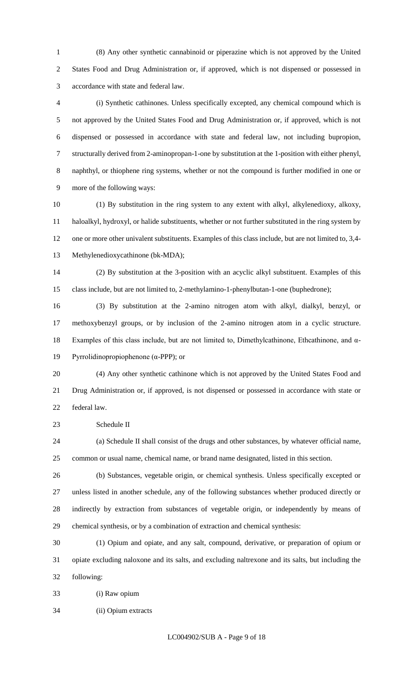(8) Any other synthetic cannabinoid or piperazine which is not approved by the United States Food and Drug Administration or, if approved, which is not dispensed or possessed in accordance with state and federal law.

 (i) Synthetic cathinones. Unless specifically excepted, any chemical compound which is not approved by the United States Food and Drug Administration or, if approved, which is not dispensed or possessed in accordance with state and federal law, not including bupropion, structurally derived from 2-aminopropan-1-one by substitution at the 1-position with either phenyl, naphthyl, or thiophene ring systems, whether or not the compound is further modified in one or more of the following ways:

 (1) By substitution in the ring system to any extent with alkyl, alkylenedioxy, alkoxy, haloalkyl, hydroxyl, or halide substituents, whether or not further substituted in the ring system by one or more other univalent substituents. Examples of this class include, but are not limited to, 3,4- Methylenedioxycathinone (bk-MDA);

 (2) By substitution at the 3-position with an acyclic alkyl substituent. Examples of this class include, but are not limited to, 2-methylamino-1-phenylbutan-1-one (buphedrone);

 (3) By substitution at the 2-amino nitrogen atom with alkyl, dialkyl, benzyl, or methoxybenzyl groups, or by inclusion of the 2-amino nitrogen atom in a cyclic structure. Examples of this class include, but are not limited to, Dimethylcathinone, Ethcathinone, and α-Pyrrolidinopropiophenone (α-PPP); or

 (4) Any other synthetic cathinone which is not approved by the United States Food and Drug Administration or, if approved, is not dispensed or possessed in accordance with state or federal law.

Schedule II

 (a) Schedule II shall consist of the drugs and other substances, by whatever official name, common or usual name, chemical name, or brand name designated, listed in this section.

 (b) Substances, vegetable origin, or chemical synthesis. Unless specifically excepted or unless listed in another schedule, any of the following substances whether produced directly or indirectly by extraction from substances of vegetable origin, or independently by means of chemical synthesis, or by a combination of extraction and chemical synthesis:

 (1) Opium and opiate, and any salt, compound, derivative, or preparation of opium or opiate excluding naloxone and its salts, and excluding naltrexone and its salts, but including the following:

(i) Raw opium

(ii) Opium extracts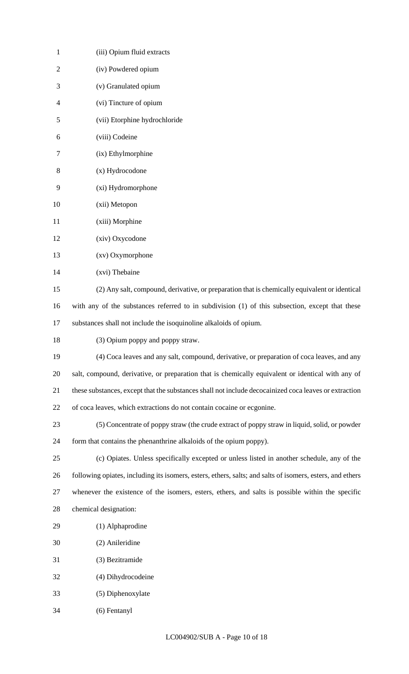| $\mathbf{1}$   | (iii) Opium fluid extracts                                                                                |
|----------------|-----------------------------------------------------------------------------------------------------------|
| $\overline{2}$ | (iv) Powdered opium                                                                                       |
| 3              | (v) Granulated opium                                                                                      |
| 4              | (vi) Tincture of opium                                                                                    |
| 5              | (vii) Etorphine hydrochloride                                                                             |
| 6              | (viii) Codeine                                                                                            |
| 7              | (ix) Ethylmorphine                                                                                        |
| 8              | (x) Hydrocodone                                                                                           |
| 9              | (xi) Hydromorphone                                                                                        |
| 10             | (xii) Metopon                                                                                             |
| 11             | (xiii) Morphine                                                                                           |
| 12             | (xiv) Oxycodone                                                                                           |
| 13             | (xv) Oxymorphone                                                                                          |
| 14             | (xvi) Thebaine                                                                                            |
| 15             | (2) Any salt, compound, derivative, or preparation that is chemically equivalent or identical             |
| 16             | with any of the substances referred to in subdivision (1) of this subsection, except that these           |
| 17             | substances shall not include the isoquinoline alkaloids of opium.                                         |
| 18             | (3) Opium poppy and poppy straw.                                                                          |
| 19             | (4) Coca leaves and any salt, compound, derivative, or preparation of coca leaves, and any                |
| 20             | salt, compound, derivative, or preparation that is chemically equivalent or identical with any of         |
| 21             | these substances, except that the substances shall not include decocainized coca leaves or extraction     |
| 22             | of coca leaves, which extractions do not contain cocaine or ecgonine.                                     |
| 23             | (5) Concentrate of poppy straw (the crude extract of poppy straw in liquid, solid, or powder              |
| 24             | form that contains the phenanthrine alkaloids of the opium poppy).                                        |
| 25             | (c) Opiates. Unless specifically excepted or unless listed in another schedule, any of the                |
| 26             | following opiates, including its isomers, esters, ethers, salts; and salts of isomers, esters, and ethers |
| 27             | whenever the existence of the isomers, esters, ethers, and salts is possible within the specific          |
| 28             | chemical designation:                                                                                     |
| 29             | (1) Alphaprodine                                                                                          |
| 30             | (2) Anileridine                                                                                           |
| 31             | (3) Bezitramide                                                                                           |
| 32             | (4) Dihydrocodeine                                                                                        |
| 33             | (5) Diphenoxylate                                                                                         |
| 34             | (6) Fentanyl                                                                                              |
|                |                                                                                                           |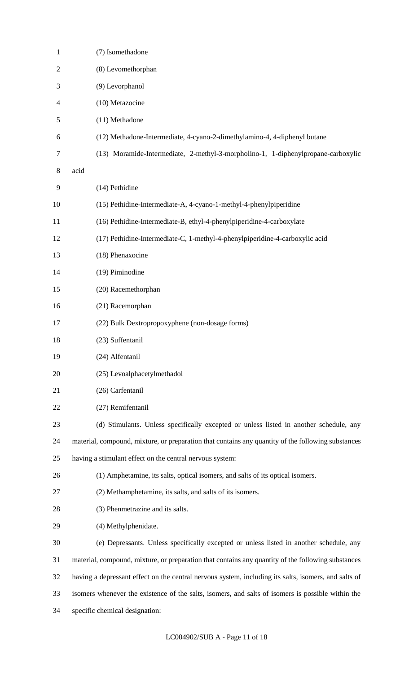| 1              | (7) Isomethadone                                                                                     |
|----------------|------------------------------------------------------------------------------------------------------|
| $\overline{c}$ | (8) Levomethorphan                                                                                   |
| 3              | (9) Levorphanol                                                                                      |
| 4              | (10) Metazocine                                                                                      |
| 5              | (11) Methadone                                                                                       |
| 6              | (12) Methadone-Intermediate, 4-cyano-2-dimethylamino-4, 4-diphenyl butane                            |
| $\tau$         | (13) Moramide-Intermediate, 2-methyl-3-morpholino-1, 1-diphenylpropane-carboxylic                    |
| 8              | acid                                                                                                 |
| 9              | (14) Pethidine                                                                                       |
| 10             | (15) Pethidine-Intermediate-A, 4-cyano-1-methyl-4-phenylpiperidine                                   |
| 11             | (16) Pethidine-Intermediate-B, ethyl-4-phenylpiperidine-4-carboxylate                                |
| 12             | (17) Pethidine-Intermediate-C, 1-methyl-4-phenylpiperidine-4-carboxylic acid                         |
| 13             | (18) Phenaxocine                                                                                     |
| 14             | (19) Piminodine                                                                                      |
| 15             | (20) Racemethorphan                                                                                  |
| 16             | (21) Racemorphan                                                                                     |
| 17             | (22) Bulk Dextropropoxyphene (non-dosage forms)                                                      |
| 18             | (23) Suffentanil                                                                                     |
| 19             | (24) Alfentanil                                                                                      |
| 20             | (25) Levoalphacetylmethadol                                                                          |
| 21             | (26) Carfentanil                                                                                     |
| 22             | (27) Remifentanil                                                                                    |
| 23             | (d) Stimulants. Unless specifically excepted or unless listed in another schedule, any               |
| 24             | material, compound, mixture, or preparation that contains any quantity of the following substances   |
| 25             | having a stimulant effect on the central nervous system:                                             |
| 26             | (1) Amphetamine, its salts, optical isomers, and salts of its optical isomers.                       |
| 27             | (2) Methamphetamine, its salts, and salts of its isomers.                                            |
| 28             | (3) Phenmetrazine and its salts.                                                                     |
| 29             | (4) Methylphenidate.                                                                                 |
| 30             | (e) Depressants. Unless specifically excepted or unless listed in another schedule, any              |
| 31             | material, compound, mixture, or preparation that contains any quantity of the following substances   |
| 32             | having a depressant effect on the central nervous system, including its salts, isomers, and salts of |
| 33             | isomers whenever the existence of the salts, isomers, and salts of isomers is possible within the    |
| 34             | specific chemical designation:                                                                       |
|                |                                                                                                      |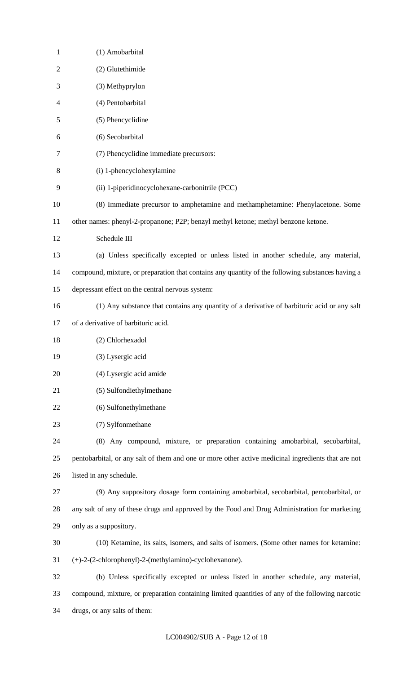| $\mathbf{1}$   | (1) Amobarbital                                                                                    |
|----------------|----------------------------------------------------------------------------------------------------|
| $\overline{2}$ | (2) Glutethimide                                                                                   |
| 3              | (3) Methyprylon                                                                                    |
| 4              | (4) Pentobarbital                                                                                  |
| 5              | (5) Phencyclidine                                                                                  |
| 6              | (6) Secobarbital                                                                                   |
| 7              | (7) Phencyclidine immediate precursors:                                                            |
| 8              | (i) 1-phencyclohexylamine                                                                          |
| 9              | (ii) 1-piperidinocyclohexane-carbonitrile (PCC)                                                    |
| 10             | (8) Immediate precursor to amphetamine and methamphetamine: Phenylacetone. Some                    |
| 11             | other names: phenyl-2-propanone; P2P; benzyl methyl ketone; methyl benzone ketone.                 |
| 12             | Schedule III                                                                                       |
| 13             | (a) Unless specifically excepted or unless listed in another schedule, any material,               |
| 14             | compound, mixture, or preparation that contains any quantity of the following substances having a  |
| 15             | depressant effect on the central nervous system:                                                   |
| 16             | (1) Any substance that contains any quantity of a derivative of barbituric acid or any salt        |
| 17             | of a derivative of barbituric acid.                                                                |
| 18             | (2) Chlorhexadol                                                                                   |
| 19             | (3) Lysergic acid                                                                                  |
| 20             | (4) Lysergic acid amide                                                                            |
| 21             | (5) Sulfondiethylmethane                                                                           |
| 22             | (6) Sulfonethylmethane                                                                             |
| 23             | (7) Sylfonmethane                                                                                  |
| 24             | (8) Any compound, mixture, or preparation containing amobarbital, secobarbital,                    |
| 25             | pentobarbital, or any salt of them and one or more other active medicinal ingredients that are not |
| 26             | listed in any schedule.                                                                            |
| 27             | (9) Any suppository dosage form containing amobarbital, secobarbital, pentobarbital, or            |
| 28             | any salt of any of these drugs and approved by the Food and Drug Administration for marketing      |
| 29             | only as a suppository.                                                                             |
| 30             | (10) Ketamine, its salts, isomers, and salts of isomers. (Some other names for ketamine:           |
| 31             | (+)-2-(2-chlorophenyl)-2-(methylamino)-cyclohexanone).                                             |
| 32             | (b) Unless specifically excepted or unless listed in another schedule, any material,               |
| 33             | compound, mixture, or preparation containing limited quantities of any of the following narcotic   |
| 34             | drugs, or any salts of them:                                                                       |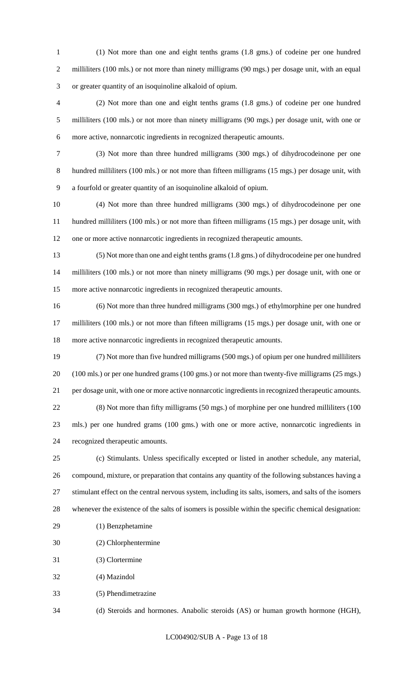(1) Not more than one and eight tenths grams (1.8 gms.) of codeine per one hundred 2 milliliters (100 mls.) or not more than ninety milligrams (90 mgs.) per dosage unit, with an equal or greater quantity of an isoquinoline alkaloid of opium.

 (2) Not more than one and eight tenths grams (1.8 gms.) of codeine per one hundred milliliters (100 mls.) or not more than ninety milligrams (90 mgs.) per dosage unit, with one or more active, nonnarcotic ingredients in recognized therapeutic amounts.

 (3) Not more than three hundred milligrams (300 mgs.) of dihydrocodeinone per one hundred milliliters (100 mls.) or not more than fifteen milligrams (15 mgs.) per dosage unit, with a fourfold or greater quantity of an isoquinoline alkaloid of opium.

 (4) Not more than three hundred milligrams (300 mgs.) of dihydrocodeinone per one hundred milliliters (100 mls.) or not more than fifteen milligrams (15 mgs.) per dosage unit, with one or more active nonnarcotic ingredients in recognized therapeutic amounts.

 (5) Not more than one and eight tenths grams (1.8 gms.) of dihydrocodeine per one hundred milliliters (100 mls.) or not more than ninety milligrams (90 mgs.) per dosage unit, with one or more active nonnarcotic ingredients in recognized therapeutic amounts.

 (6) Not more than three hundred milligrams (300 mgs.) of ethylmorphine per one hundred milliliters (100 mls.) or not more than fifteen milligrams (15 mgs.) per dosage unit, with one or more active nonnarcotic ingredients in recognized therapeutic amounts.

 (7) Not more than five hundred milligrams (500 mgs.) of opium per one hundred milliliters (100 mls.) or per one hundred grams (100 gms.) or not more than twenty-five milligrams (25 mgs.) per dosage unit, with one or more active nonnarcotic ingredients in recognized therapeutic amounts. (8) Not more than fifty milligrams (50 mgs.) of morphine per one hundred milliliters (100 mls.) per one hundred grams (100 gms.) with one or more active, nonnarcotic ingredients in recognized therapeutic amounts.

 (c) Stimulants. Unless specifically excepted or listed in another schedule, any material, compound, mixture, or preparation that contains any quantity of the following substances having a stimulant effect on the central nervous system, including its salts, isomers, and salts of the isomers whenever the existence of the salts of isomers is possible within the specific chemical designation:

- (1) Benzphetamine
- (2) Chlorphentermine
- (3) Clortermine
- (4) Mazindol
- (5) Phendimetrazine

(d) Steroids and hormones. Anabolic steroids (AS) or human growth hormone (HGH),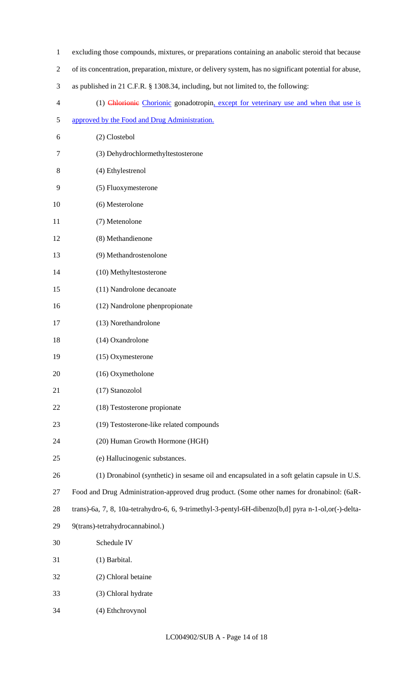- excluding those compounds, mixtures, or preparations containing an anabolic steroid that because
- of its concentration, preparation, mixture, or delivery system, has no significant potential for abuse,
- as published in 21 C.F.R. § 1308.34, including, but not limited to, the following:
- (1) Chlorionic Chorionic gonadotropin, except for veterinary use and when that use is
- approved by the Food and Drug Administration.
- (2) Clostebol
- (3) Dehydrochlormethyltestosterone
- (4) Ethylestrenol
- (5) Fluoxymesterone
- (6) Mesterolone
- (7) Metenolone
- (8) Methandienone
- (9) Methandrostenolone
- (10) Methyltestosterone
- (11) Nandrolone decanoate
- (12) Nandrolone phenpropionate
- (13) Norethandrolone
- (14) Oxandrolone
- (15) Oxymesterone
- (16) Oxymetholone
- (17) Stanozolol
- (18) Testosterone propionate
- (19) Testosterone-like related compounds
- (20) Human Growth Hormone (HGH)
- (e) Hallucinogenic substances.
- (1) Dronabinol (synthetic) in sesame oil and encapsulated in a soft gelatin capsule in U.S.
- Food and Drug Administration-approved drug product. (Some other names for dronabinol: (6aR-
- trans)-6a, 7, 8, 10a-tetrahydro-6, 6, 9-trimethyl-3-pentyl-6H-dibenzo[b,d] pyra n-1-ol,or(-)-delta-
- 9(trans)-tetrahydrocannabinol.)
- Schedule IV
- (1) Barbital.
- (2) Chloral betaine
- (3) Chloral hydrate
- (4) Ethchrovynol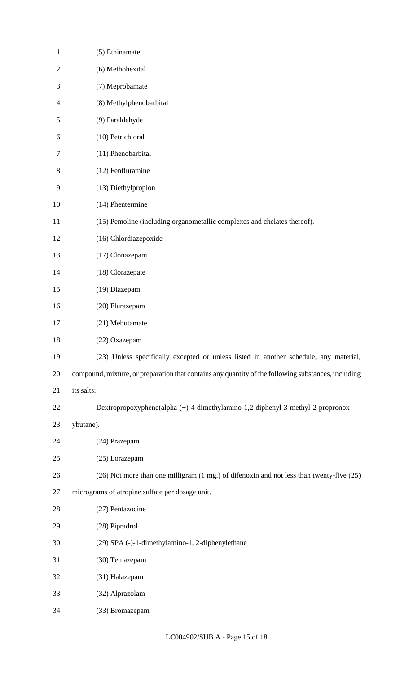| $\mathbf{1}$   | (5) Ethinamate                                                                                      |
|----------------|-----------------------------------------------------------------------------------------------------|
| $\overline{2}$ | (6) Methohexital                                                                                    |
| 3              | (7) Meprobamate                                                                                     |
| 4              | (8) Methylphenobarbital                                                                             |
| 5              | (9) Paraldehyde                                                                                     |
| 6              | (10) Petrichloral                                                                                   |
| 7              | (11) Phenobarbital                                                                                  |
| 8              | (12) Fenfluramine                                                                                   |
| 9              | (13) Diethylpropion                                                                                 |
| 10             | (14) Phentermine                                                                                    |
| 11             | (15) Pemoline (including organometallic complexes and chelates thereof).                            |
| 12             | (16) Chlordiazepoxide                                                                               |
| 13             | (17) Clonazepam                                                                                     |
| 14             | (18) Clorazepate                                                                                    |
| 15             | (19) Diazepam                                                                                       |
| 16             | (20) Flurazepam                                                                                     |
| 17             | (21) Mebutamate                                                                                     |
| 18             | (22) Oxazepam                                                                                       |
| 19             | (23) Unless specifically excepted or unless listed in another schedule, any material,               |
| 20             | compound, mixture, or preparation that contains any quantity of the following substances, including |
| 21             | its salts:                                                                                          |
| 22             | Dextropropoxyphene(alpha-(+)-4-dimethylamino-1,2-diphenyl-3-methyl-2-propronox                      |
| 23             | ybutane).                                                                                           |
| 24             | (24) Prazepam                                                                                       |
| 25             | (25) Lorazepam                                                                                      |
| 26             | (26) Not more than one milligram (1 mg.) of difenoxin and not less than twenty-five (25)            |
| 27             | micrograms of atropine sulfate per dosage unit.                                                     |
| 28             | (27) Pentazocine                                                                                    |
| 29             | (28) Pipradrol                                                                                      |
| 30             | (29) SPA (-)-1-dimethylamino-1, 2-diphenylethane                                                    |
| 31             | (30) Temazepam                                                                                      |
| 32             | (31) Halazepam                                                                                      |
| 33             | (32) Alprazolam                                                                                     |
| 34             | (33) Bromazepam                                                                                     |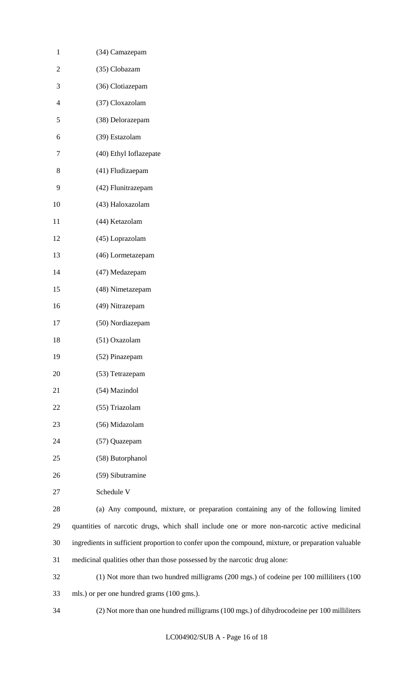| $\mathbf{1}$   | (34) Camazepam             |
|----------------|----------------------------|
| 2              | (35) Clobazam              |
| 3              | (36) Clotiazepam           |
| $\overline{4}$ | (37) Cloxazolam            |
| 5              | (38) Delorazepam           |
| 6              | (39) Estazolam             |
| 7              | (40) Ethyl Ioflazepate     |
| 8              | (41) Fludizaepam           |
| 9              | (42) Flunitrazepam         |
| 10             | (43) Haloxazolam           |
| 11             | (44) Ketazolam             |
| 12             | (45) Loprazolam            |
| 13             | (46) Lormetazepam          |
| 14             | (47) Medazepam             |
| 15             | (48) Nimetazepam           |
| 16             | (49) Nitrazepam            |
| 17             | (50) Nordiazepam           |
| 18             | (51) Oxazolam              |
| 19             | (52) Pinazepam             |
| 20             | (53) Tetrazepam            |
| 21             | (54) Mazindol              |
| 22             | (55) Triazolam             |
| 23             | (56) Midazolam             |
| 24             | (57) Quazepam              |
| 25             | (58) Butorphanol           |
| 26             | (59) Sibutramine           |
| 27             | Schedule V                 |
| 28             | (a) Any compound, mixture, |
|                |                            |

 (a) Any compound, mixture, or preparation containing any of the following limited quantities of narcotic drugs, which shall include one or more non-narcotic active medicinal ingredients in sufficient proportion to confer upon the compound, mixture, or preparation valuable medicinal qualities other than those possessed by the narcotic drug alone:

 (1) Not more than two hundred milligrams (200 mgs.) of codeine per 100 milliliters (100 mls.) or per one hundred grams (100 gms.).

(2) Not more than one hundred milligrams (100 mgs.) of dihydrocodeine per 100 milliliters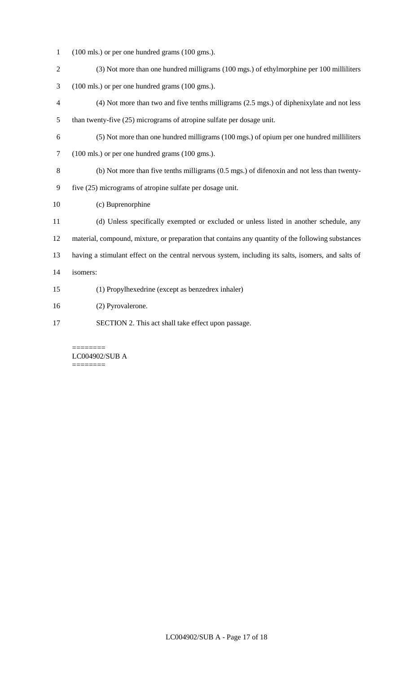- (100 mls.) or per one hundred grams (100 gms.).
- (3) Not more than one hundred milligrams (100 mgs.) of ethylmorphine per 100 milliliters
- (100 mls.) or per one hundred grams (100 gms.).
- (4) Not more than two and five tenths milligrams (2.5 mgs.) of diphenixylate and not less than twenty-five (25) micrograms of atropine sulfate per dosage unit.
- (5) Not more than one hundred milligrams (100 mgs.) of opium per one hundred milliliters (100 mls.) or per one hundred grams (100 gms.).
- (b) Not more than five tenths milligrams (0.5 mgs.) of difenoxin and not less than twenty-
- five (25) micrograms of atropine sulfate per dosage unit.
- (c) Buprenorphine
- (d) Unless specifically exempted or excluded or unless listed in another schedule, any material, compound, mixture, or preparation that contains any quantity of the following substances having a stimulant effect on the central nervous system, including its salts, isomers, and salts of isomers:
- (1) Propylhexedrine (except as benzedrex inhaler)
- (2) Pyrovalerone.
- SECTION 2. This act shall take effect upon passage.

======== LC004902/SUB A ========